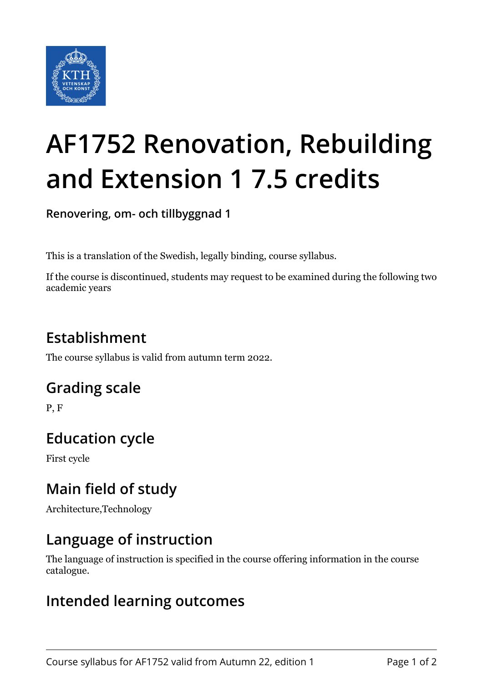

# **AF1752 Renovation, Rebuilding and Extension 1 7.5 credits**

**Renovering, om- och tillbyggnad 1**

This is a translation of the Swedish, legally binding, course syllabus.

If the course is discontinued, students may request to be examined during the following two academic years

# **Establishment**

The course syllabus is valid from autumn term 2022.

## **Grading scale**

P, F

## **Education cycle**

First cycle

## **Main field of study**

Architecture,Technology

## **Language of instruction**

The language of instruction is specified in the course offering information in the course catalogue.

#### **Intended learning outcomes**